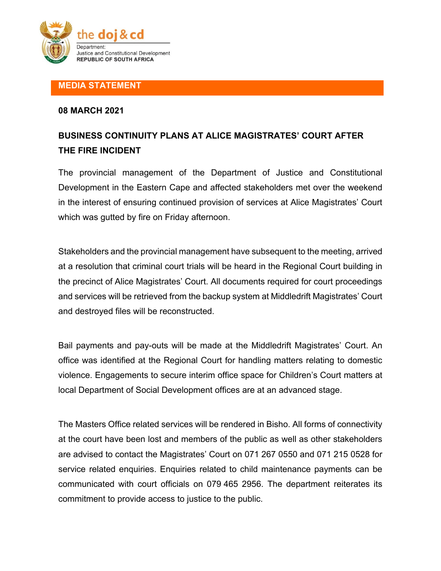

### **MEDIA STATEMENT**

### **08 MARCH 2021**

# **BUSINESS CONTINUITY PLANS AT ALICE MAGISTRATES' COURT AFTER THE FIRE INCIDENT**

The provincial management of the Department of Justice and Constitutional Development in the Eastern Cape and affected stakeholders met over the weekend in the interest of ensuring continued provision of services at Alice Magistrates' Court which was gutted by fire on Friday afternoon.

Stakeholders and the provincial management have subsequent to the meeting, arrived at a resolution that criminal court trials will be heard in the Regional Court building in the precinct of Alice Magistrates' Court. All documents required for court proceedings and services will be retrieved from the backup system at Middledrift Magistrates' Court and destroyed files will be reconstructed.

Bail payments and pay-outs will be made at the Middledrift Magistrates' Court. An office was identified at the Regional Court for handling matters relating to domestic violence. Engagements to secure interim office space for Children's Court matters at local Department of Social Development offices are at an advanced stage.

The Masters Office related services will be rendered in Bisho. All forms of connectivity at the court have been lost and members of the public as well as other stakeholders are advised to contact the Magistrates' Court on 071 267 0550 and 071 215 0528 for service related enquiries. Enquiries related to child maintenance payments can be communicated with court officials on 079 465 2956. The department reiterates its commitment to provide access to justice to the public.